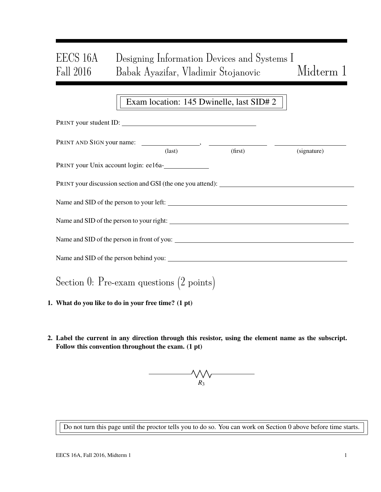# EECS 16A Designing Information Devices and Systems I Fall 2016 Babak Ayazifar, Vladimir Stojanovic Midterm 1

## Exam location: 145 Dwinelle, last SID# 2

| PRINT your student ID:                                      |                 |         |             |
|-------------------------------------------------------------|-----------------|---------|-------------|
|                                                             | $\text{(last)}$ | (first) | (signature) |
| PRINT your Unix account login: ee16a-                       |                 |         |             |
| PRINT your discussion section and GSI (the one you attend): |                 |         |             |
|                                                             |                 |         |             |
|                                                             |                 |         |             |
| Name and SID of the person in front of you:                 |                 |         |             |
|                                                             |                 |         |             |
| Section 0: Pre-exam questions $(2 \text{ points})$          |                 |         |             |
| 1. What do you like to do in your free time? (1 pt)         |                 |         |             |

2. Label the current in any direction through this resistor, using the element name as the subscript. Follow this convention throughout the exam. (1 pt)



Do not turn this page until the proctor tells you to do so. You can work on Section 0 above before time starts.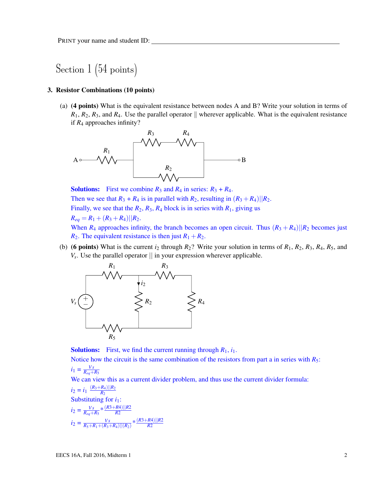## Section 1 (54 points)

#### 3. Resistor Combinations (10 points)

(a) (4 points) What is the equivalent resistance between nodes A and B? Write your solution in terms of  $R_1, R_2, R_3$ , and  $R_4$ . Use the parallel operator  $\parallel$  wherever applicable. What is the equivalent resistance if *R*<sup>4</sup> approaches infinity?



**Solutions:** First we combine  $R_3$  and  $R_4$  in series:  $R_3 + R_4$ . Then we see that  $R_3 + R_4$  is in parallel with  $R_2$ , resulting in  $(R_3 + R_4)||R_2$ . Finally, we see that the  $R_2$ ,  $R_3$ ,  $R_4$  block is in series with  $R_1$ , giving us  $R_{eq} = R_1 + (R_3 + R_4)||R_2.$ When  $R_4$  approaches infinity, the branch becomes an open circuit. Thus  $(R_3 + R_4)||R_2$  becomes just *R*<sub>2</sub>. The equivalent resistance is then just  $R_1 + R_2$ .

(b) (6 points) What is the current  $i_2$  through  $R_2$ ? Write your solution in terms of  $R_1$ ,  $R_2$ ,  $R_3$ ,  $R_4$ ,  $R_5$ , and  $V_s$ . Use the parallel operator  $\parallel$  in your expression wherever applicable.



**Solutions:** First, we find the current running through  $R_1$ ,  $i_1$ . Notice how the circuit is the same combination of the resistors from part a in series with *R*5:

$$
i_1 = \frac{V_s}{R_{eq} + R_5}
$$

We can view this as a current divider problem, and thus use the current divider formula:

$$
i_2 = i_1 \frac{(R_3 + R_4)||R_2}{R_2}
$$
  
Substituting for  $i_1$ :  

$$
i_2 = \frac{V_s}{R_{eq} + R_5} * \frac{(R_3 + R_4)||R_2}{R_2}
$$

$$
i_2 = \frac{V_s}{R_3 + R_1 + (R_3 + R_4)||R_2} * \frac{(R_3 + R_4)||R_2}{R_2}
$$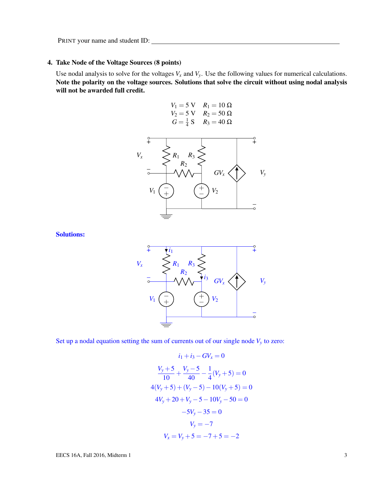## 4. Take Node of the Voltage Sources (8 points)

Use nodal analysis to solve for the voltages  $V_x$  and  $V_y$ . Use the following values for numerical calculations. Note the polarity on the voltage sources. Solutions that solve the circuit without using nodal analysis will not be awarded full credit.

$$
V_1 = 5 \text{ V} \quad R_1 = 10 \text{ }\Omega V_2 = 5 \text{ V} \quad R_2 = 50 \text{ }\Omega G = \frac{1}{4} \text{ S} \quad R_3 = 40 \text{ }\Omega
$$



Solutions:



Set up a nodal equation setting the sum of currents out of our single node  $V_y$  to zero:

$$
i_1 + i_3 - GV_x = 0
$$
  
\n
$$
\frac{V_y + 5}{10} + \frac{V_y - 5}{40} - \frac{1}{4}(V_y + 5) = 0
$$
  
\n
$$
4(V_y + 5) + (V_y - 5) - 10(V_y + 5) = 0
$$
  
\n
$$
4V_y + 20 + V_y - 5 - 10V_y - 50 = 0
$$
  
\n
$$
-5V_y - 35 = 0
$$
  
\n
$$
V_y = -7
$$
  
\n
$$
V_x = V_y + 5 = -7 + 5 = -2
$$

EECS 16A, Fall 2016, Midterm 1 3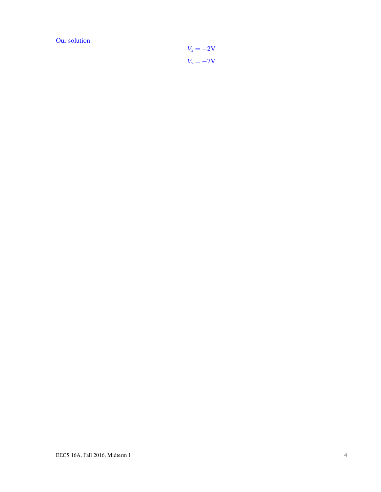Our solution:

$$
V_x = -2V
$$

$$
V_y = -7V
$$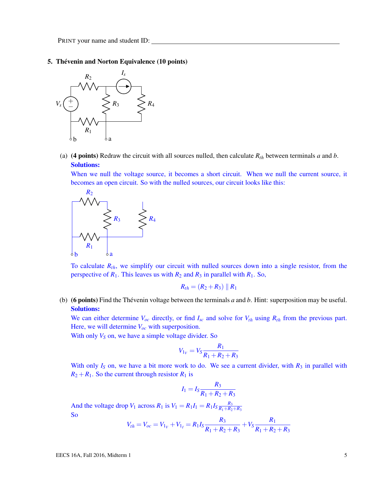5. Thévenin and Norton Equivalence (10 points)



(a) (4 points) Redraw the circuit with all sources nulled, then calculate  $R_{th}$  between terminals *a* and *b*. Solutions:

When we null the voltage source, it becomes a short circuit. When we null the current source, it becomes an open circuit. So with the nulled sources, our circuit looks like this:



To calculate *Rth*, we simplify our circuit with nulled sources down into a single resistor, from the perspective of  $R_1$ . This leaves us with  $R_2$  and  $R_3$  in parallel with  $R_1$ . So,

$$
R_{th}=(R_2+R_3)\parallel R_1
$$

(b) (6 points) Find the Thévenin voltage between the terminals *a* and *b*. Hint: superposition may be useful. Solutions:

We can either determine  $V_{oc}$  directly, or find  $I_{sc}$  and solve for  $V_{th}$  using  $R_{th}$  from the previous part. Here, we will determine *Voc* with superposition.

With only  $V_S$  on, we have a simple voltage divider. So

$$
V_{1_V} = V_S \frac{R_1}{R_1 + R_2 + R_3}
$$

With only  $I_S$  on, we have a bit more work to do. We see a current divider, with  $R_3$  in parallel with  $R_2 + R_1$ . So the current through resistor  $R_1$  is

$$
I_1 = I_S \frac{R_3}{R_1 + R_2 + R_3}
$$

And the voltage drop  $V_1$  across  $R_1$  is  $V_1 = R_1 I_1 = R_1 I_S \frac{R_3}{R_1 + R_2}$  $R_1 + R_2 + R_3$ So

$$
V_{th} = V_{oc} = V_{1_V} + V_{1_I} = R_1 I_S \frac{R_3}{R_1 + R_2 + R_3} + V_S \frac{R_1}{R_1 + R_2 + R_3}
$$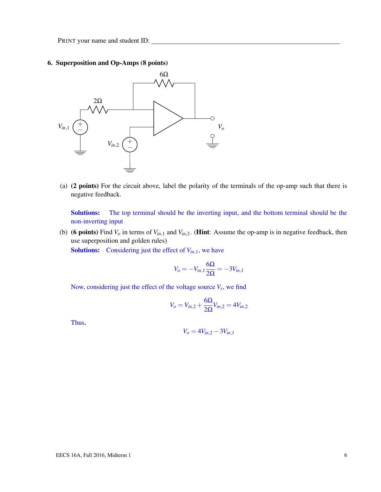#### 6. Superposition and Op-Amps (8 points)



(a) (2 points) For the circuit above, label the polarity of the terminals of the op-amp such that there is negative feedback.

Solutions: The top terminal should be the inverting input, and the bottom terminal should be the non-inverting input

(b) (6 points) Find  $V_o$  in terms of  $V_{in,1}$  and  $V_{in,2}$ . (Hint: Assume the op-amp is in negative feedback, then use superposition and golden rules)

**Solutions:** Considering just the effect of  $V_{in,1}$ , we have

$$
V_o = -V_{in,1} \frac{6\Omega}{2\Omega} = -3V_{in,1}
$$

Now, considering just the effect of the voltage source *V<sup>s</sup>* , we find

$$
V_o = V_{in,2} + \frac{6\Omega}{2\Omega} V_{in,2} = 4V_{in,2}
$$

Thus,

$$
V_o = 4V_{in,2} - 3V_{in,1}
$$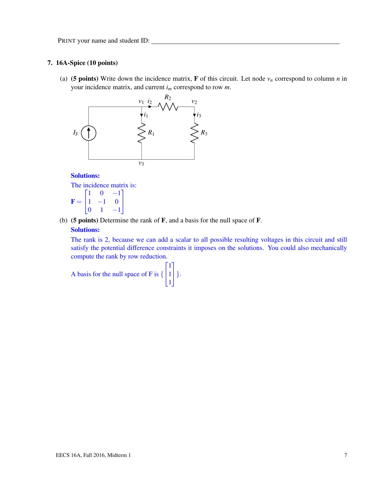#### 7. 16A-Spice (10 points)

(a) (5 points) Write down the incidence matrix, **F** of this circuit. Let node  $v_n$  correspond to column *n* in your incidence matrix, and current *i<sup>m</sup>* correspond to row *m*.



#### Solutions:

The incidence matrix is:

$$
\mathbf{F} = \begin{bmatrix} 1 & 0 & -1 \\ 1 & -1 & 0 \\ 0 & 1 & -1 \end{bmatrix}
$$

(b) (5 points) Determine the rank of F, and a basis for the null space of F.

#### Solutions:

The rank is 2, because we can add a scalar to all possible resulting voltages in this circuit and still satisfy the potential difference constraints it imposes on the solutions. You could also mechanically compute the rank by row reduction.

A basis for the null space of F is {  $\sqrt{ }$  $\mathbf{I}$ 1 1 1 1  $\bigg| \bigg.$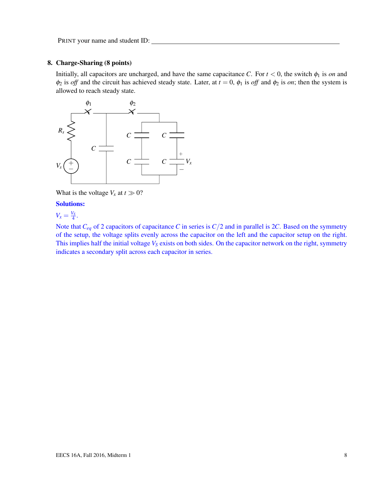#### 8. Charge-Sharing (8 points)

Initially, all capacitors are uncharged, and have the same capacitance *C*. For  $t < 0$ , the switch  $\phi_1$  is *on* and  $\phi_2$  is *off* and the circuit has achieved steady state. Later, at  $t = 0$ ,  $\phi_1$  is *off* and  $\phi_2$  is *on*; then the system is allowed to reach steady state.



What is the voltage  $V_x$  at  $t \gg 0$ ?

#### Solutions:

 $V_x = \frac{V_s}{4}.$ 

Note that  $C_{eq}$  of 2 capacitors of capacitance *C* in series is  $C/2$  and in parallel is 2*C*. Based on the symmetry of the setup, the voltage splits evenly across the capacitor on the left and the capacitor setup on the right. This implies half the initial voltage  $V_S$  exists on both sides. On the capacitor network on the right, symmetry indicates a secondary split across each capacitor in series.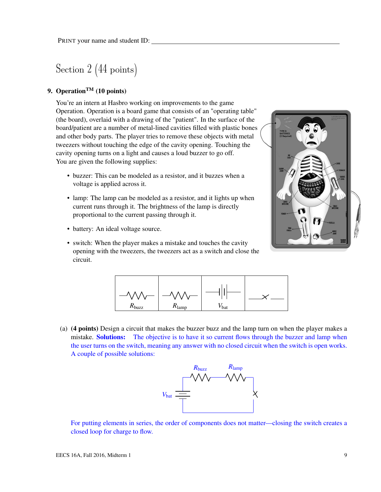Section 2 (44 points)

### 9. Operation<sup>TM</sup> (10 points)

You're an intern at Hasbro working on improvements to the game Operation. Operation is a board game that consists of an "operating table" (the board), overlaid with a drawing of the "patient". In the surface of the board/patient are a number of metal-lined cavities filled with plastic bones and other body parts. The player tries to remove these objects with metal tweezers without touching the edge of the cavity opening. Touching the cavity opening turns on a light and causes a loud buzzer to go off. You are given the following supplies:

- buzzer: This can be modeled as a resistor, and it buzzes when a voltage is applied across it.
- lamp: The lamp can be modeled as a resistor, and it lights up when current runs through it. The brightness of the lamp is directly proportional to the current passing through it.
- battery: An ideal voltage source.





(a) (4 points) Design a circuit that makes the buzzer buzz and the lamp turn on when the player makes a mistake. **Solutions:** The objective is to have it so current flows through the buzzer and lamp when the user turns on the switch, meaning any answer with no closed circuit when the switch is open works. A couple of possible solutions:



For putting elements in series, the order of components does not matter—closing the switch creates a closed loop for charge to flow.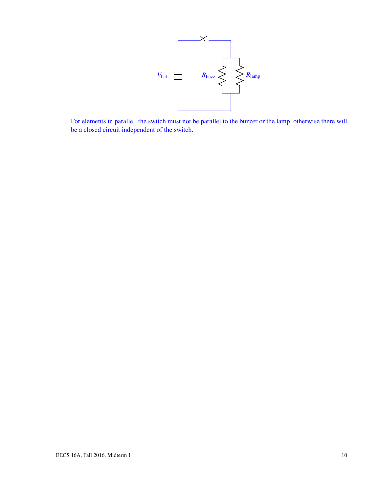

For elements in parallel, the switch must not be parallel to the buzzer or the lamp, otherwise there will be a closed circuit independent of the switch.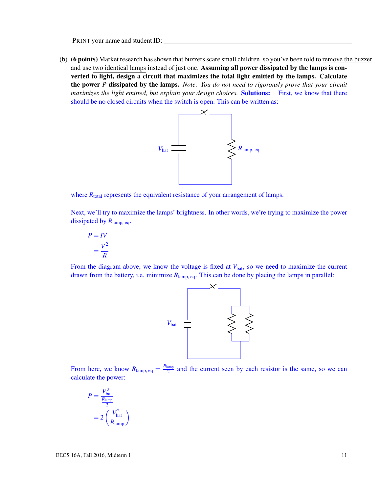(b) (6 points) Market research has shown that buzzers scare small children, so you've been told to remove the buzzer and use two identical lamps instead of just one. Assuming all power dissipated by the lamps is converted to light, design a circuit that maximizes the total light emitted by the lamps. Calculate the power *P* dissipated by the lamps. *Note: You do not need to rigorously prove that your circuit maximizes the light emitted, but explain your design choices.* **Solutions:** First, we know that there should be no closed circuits when the switch is open. This can be written as:



where  $R_{\text{total}}$  represents the equivalent resistance of your arrangement of lamps.

Next, we'll try to maximize the lamps' brightness. In other words, we're trying to maximize the power dissipated by  $R_{\text{lamp, eq}}$ .

$$
P = IV
$$

$$
= \frac{V^2}{R}
$$

From the diagram above, we know the voltage is fixed at  $V_{\text{bat}}$ , so we need to maximize the current drawn from the battery, i.e. minimize *R*lamp, eq. This can be done by placing the lamps in parallel:



From here, we know  $R_{\text{lamp, eq}} = \frac{R_{\text{lamp}}}{2}$  $\frac{amp}{2}$  and the current seen by each resistor is the same, so we can calculate the power:

$$
P = \frac{V_{\text{bat}}^2}{\frac{R_{\text{lamp}}}{2}}
$$

$$
= 2\left(\frac{V_{\text{bat}}^2}{R_{\text{lamp}}}\right)
$$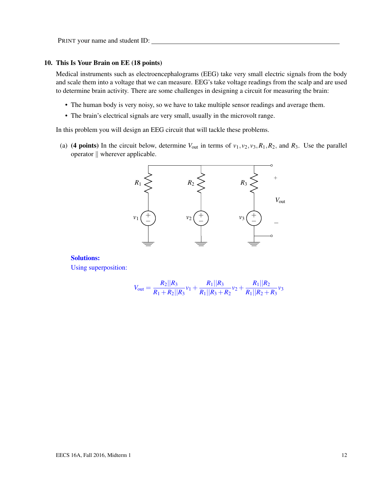#### 10. This Is Your Brain on EE (18 points)

Medical instruments such as electroencephalograms (EEG) take very small electric signals from the body and scale them into a voltage that we can measure. EEG's take voltage readings from the scalp and are used to determine brain activity. There are some challenges in designing a circuit for measuring the brain:

- The human body is very noisy, so we have to take multiple sensor readings and average them.
- The brain's electrical signals are very small, usually in the microvolt range.

In this problem you will design an EEG circuit that will tackle these problems.

(a) (4 points) In the circuit below, determine  $V_{\text{out}}$  in terms of  $v_1, v_2, v_3, R_1, R_2$ , and  $R_3$ . Use the parallel operator  $\parallel$  wherever applicable.



#### Solutions:

Using superposition:

$$
V_{\text{out}} = \frac{R_2||R_3}{R_1 + R_2||R_3}v_1 + \frac{R_1||R_3}{R_1||R_3 + R_2}v_2 + \frac{R_1||R_2}{R_1||R_2 + R_3}v_3
$$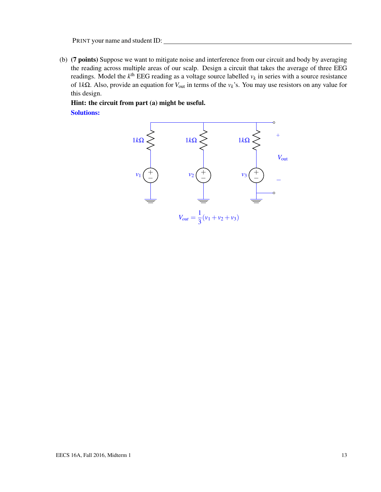(b) (7 points) Suppose we want to mitigate noise and interference from our circuit and body by averaging the reading across multiple areas of our scalp. Design a circuit that takes the average of three EEG readings. Model the  $k^{\text{th}}$  EEG reading as a voltage source labelled  $v_k$  in series with a source resistance of 1*k*Ω. Also, provide an equation for *V*out in terms of the *vk*'s. You may use resistors on any value for this design.

Hint: the circuit from part (a) might be useful. Solutions:

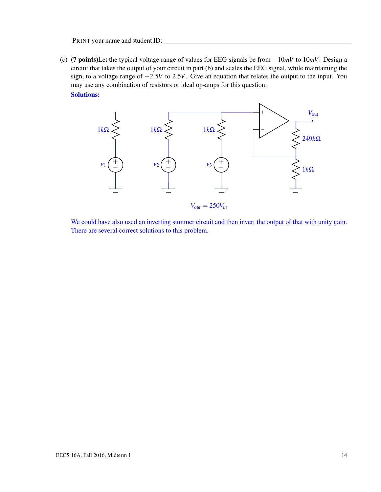(c) (7 points)Let the typical voltage range of values for EEG signals be from −10*mV* to 10*mV*. Design a circuit that takes the output of your circuit in part (b) and scales the EEG signal, while maintaining the sign, to a voltage range of −2.5*V* to 2.5*V*. Give an equation that relates the output to the input. You may use any combination of resistors or ideal op-amps for this question. Solutions:



We could have also used an inverting summer circuit and then invert the output of that with unity gain. There are several correct solutions to this problem.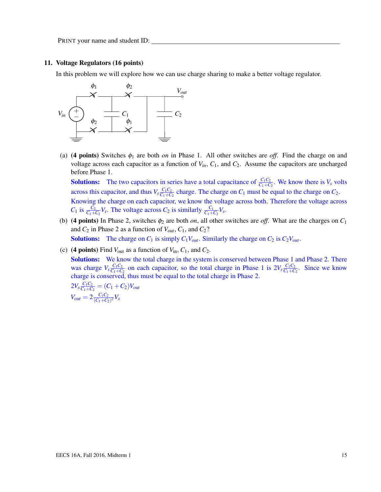#### 11. Voltage Regulators (16 points)

In this problem we will explore how we can use charge sharing to make a better voltage regulator.



(a) (4 points) Switches  $\phi_1$  are both *on* in Phase 1. All other switches are *off*. Find the charge on and voltage across each capacitor as a function of  $V_{in}$ ,  $C_1$ , and  $C_2$ . Assume the capacitors are uncharged before Phase 1.

**Solutions:** The two capacitors in series have a total capacitance of  $\frac{C_1 C_2}{C_1 + C_2}$ . We know there is  $V_s$  volts across this capacitor, and thus  $V_s \frac{C_1 C_2}{C_1 + C_2}$  $\frac{C_1 C_2}{C_1 + C_2}$  charge. The charge on  $C_1$  must be equal to the charge on  $C_2$ . Knowing the charge on each capacitor, we know the voltage across both. Therefore the voltage across  $C_1$  is  $\frac{C_2}{C_1+C_2}V_s$ . The voltage across  $C_2$  is similarly  $\frac{C_1}{C_1+C_2}V_s$ .

- (b) (4 points) In Phase 2, switches  $\phi_2$  are both *on*, all other switches are *off*. What are the charges on  $C_1$ and  $C_2$  in Phase 2 as a function of  $V_{out}$ ,  $C_1$ , and  $C_2$ ? **Solutions:** The charge on  $C_1$  is simply  $C_1V_{out}$ . Similarly the charge on  $C_2$  is  $C_2V_{out}$ .
- (c) (4 points) Find  $V_{\text{out}}$  as a function of  $V_{\text{in}}$ ,  $C_1$ , and  $C_2$ .

Solutions: We know the total charge in the system is conserved between Phase 1 and Phase 2. There was charge  $V_s \frac{C_1 C_2}{C_1 + C_2}$  $\frac{C_1 C_2}{C_1 + C_2}$  on each capacitor, so the total charge in Phase 1 is  $2V_s \frac{C_1 C_2}{C_1 + C_2}$  $\frac{C_1 C_2}{C_1 + C_2}$ . Since we know charge is conserved, thus must be equal to the total charge in Phase 2.

 $2V_s \frac{C_1C_2}{C_1+C_2}$  $\frac{C_1 C_2}{C_1 + C_2} = (C_1 + C_2)V_{out}$  $V_{out} = 2 \frac{C_1 C_2}{(C_1 + C_2)}$  $\frac{C_1 C_2}{(C_1 + C_2)^2} V_s$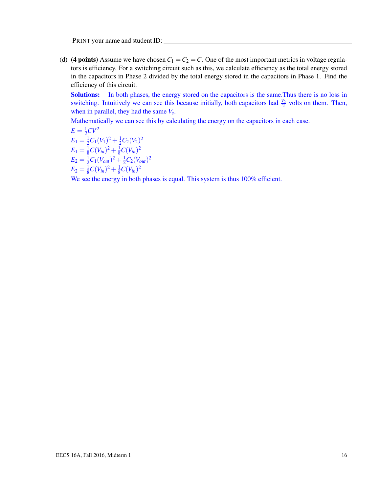(d) (4 points) Assume we have chosen  $C_1 = C_2 = C$ . One of the most important metrics in voltage regulators is efficiency. For a switching circuit such as this, we calculate efficiency as the total energy stored in the capacitors in Phase 2 divided by the total energy stored in the capacitors in Phase 1. Find the efficiency of this circuit.

Solutions: In both phases, the energy stored on the capacitors is the same.Thus there is no loss in switching. Intuitively we can see this because initially, both capacitors had  $\frac{V_2}{2}$  volts on them. Then, when in parallel, they had the same *V<sup>s</sup>* .

Mathematically we can see this by calculating the energy on the capacitors in each case.

 $E=\frac{1}{2}$  $\frac{1}{2}CV^2$  $E_1 = \frac{1}{2}$  $\frac{1}{2}C_1(V_1)^2 + \frac{1}{2}$  $\frac{1}{2}C_2(V_2)^2$  $E_1 = \frac{1}{8}$  $\frac{1}{8}C(V_{in})^2 + \frac{1}{8}$  $\frac{1}{8}C(V_{in})^2$  $E_2=\frac{1}{2}$  $\frac{1}{2}C_1(V_{out})^2 + \frac{1}{2}$  $\frac{1}{2}C_2(V_{out})^2$  $E_2 = \frac{1}{8}$  $\frac{1}{8}C(V_{in})^2 + \frac{1}{8}$  $\frac{1}{8}C(V_{in})^2$ 

We see the energy in both phases is equal. This system is thus  $100\%$  efficient.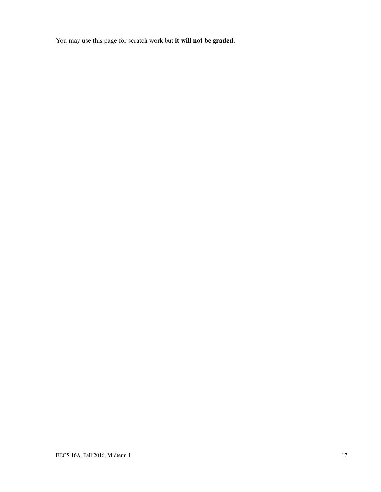You may use this page for scratch work but it will not be graded.